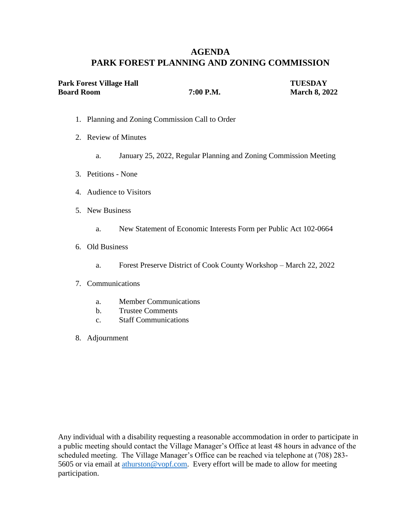# **AGENDA PARK FOREST PLANNING AND ZONING COMMISSION**

| Park Forest Village Hall |           | <b>TUESDAY</b>       |
|--------------------------|-----------|----------------------|
| <b>Board Room</b>        | 7:00 P.M. | <b>March 8, 2022</b> |

- 1. Planning and Zoning Commission Call to Order
- 2. Review of Minutes
	- a. January 25, 2022, Regular Planning and Zoning Commission Meeting
- 3. Petitions None
- 4. Audience to Visitors
- 5. New Business
	- a. New Statement of Economic Interests Form per Public Act 102-0664
- 6. Old Business
	- a. Forest Preserve District of Cook County Workshop March 22, 2022
- 7. Communications
	- a. Member Communications
	- b. Trustee Comments
	- c. Staff Communications
- 8. Adjournment

Any individual with a disability requesting a reasonable accommodation in order to participate in a public meeting should contact the Village Manager's Office at least 48 hours in advance of the scheduled meeting. The Village Manager's Office can be reached via telephone at (708) 283- 5605 or via email at athurston @vopf.com. Every effort will be made to allow for meeting participation.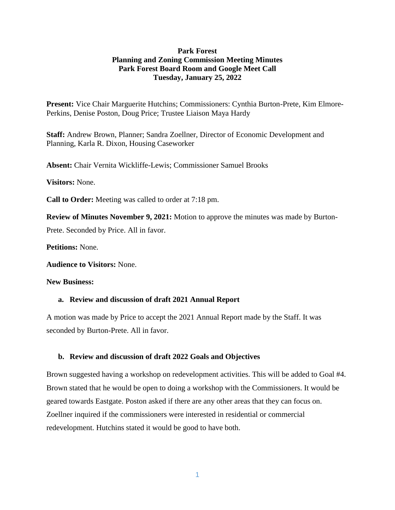#### **Park Forest Planning and Zoning Commission Meeting Minutes Park Forest Board Room and Google Meet Call Tuesday, January 25, 2022**

**Present:** Vice Chair Marguerite Hutchins; Commissioners: Cynthia Burton-Prete, Kim Elmore-Perkins, Denise Poston, Doug Price; Trustee Liaison Maya Hardy

**Staff:** Andrew Brown, Planner; Sandra Zoellner, Director of Economic Development and Planning, Karla R. Dixon, Housing Caseworker

**Absent:** Chair Vernita Wickliffe-Lewis; Commissioner Samuel Brooks

**Visitors:** None.

**Call to Order:** Meeting was called to order at 7:18 pm.

**Review of Minutes November 9, 2021:** Motion to approve the minutes was made by Burton-

Prete. Seconded by Price. All in favor.

**Petitions:** None.

**Audience to Visitors:** None.

**New Business:** 

#### **a. Review and discussion of draft 2021 Annual Report**

A motion was made by Price to accept the 2021 Annual Report made by the Staff. It was seconded by Burton-Prete. All in favor.

#### **b. Review and discussion of draft 2022 Goals and Objectives**

Brown suggested having a workshop on redevelopment activities. This will be added to Goal #4. Brown stated that he would be open to doing a workshop with the Commissioners. It would be geared towards Eastgate. Poston asked if there are any other areas that they can focus on. Zoellner inquired if the commissioners were interested in residential or commercial redevelopment. Hutchins stated it would be good to have both.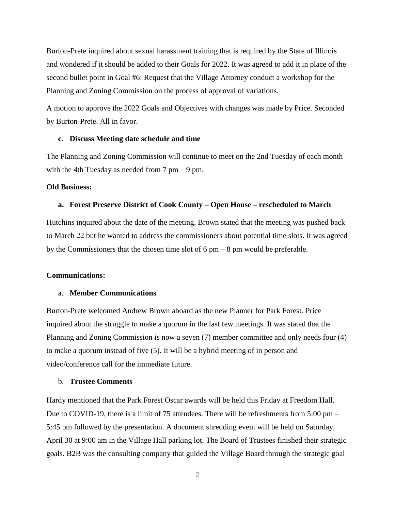Burton-Prete inquired about sexual harassment training that is required by the State of Illinois and wondered if it should be added to their Goals for 2022. It was agreed to add it in place of the second bullet point in Goal #6: Request that the Village Attorney conduct a workshop for the Planning and Zoning Commission on the process of approval of variations.

A motion to approve the 2022 Goals and Objectives with changes was made by Price. Seconded by Burton-Prete. All in favor.

#### **c. Discuss Meeting date schedule and time**

The Planning and Zoning Commission will continue to meet on the 2nd Tuesday of each month with the 4th Tuesday as needed from  $7 \text{ pm} - 9 \text{ pm}$ .

#### **Old Business:**

#### **a. Forest Preserve District of Cook County – Open House – rescheduled to March**

Hutchins inquired about the date of the meeting. Brown stated that the meeting was pushed back to March 22 but he wanted to address the commissioners about potential time slots. It was agreed by the Commissioners that the chosen time slot of 6 pm – 8 pm would be preferable.

#### **Communications:**

#### a. **Member Communications**

Burton-Prete welcomed Andrew Brown aboard as the new Planner for Park Forest. Price inquired about the struggle to make a quorum in the last few meetings. It was stated that the Planning and Zoning Commission is now a seven (7) member committee and only needs four (4) to make a quorum instead of five (5). It will be a hybrid meeting of in person and video/conference call for the immediate future.

#### b. **Trustee Comments**

Hardy mentioned that the Park Forest Oscar awards will be held this Friday at Freedom Hall. Due to COVID-19, there is a limit of 75 attendees. There will be refreshments from 5:00 pm – 5:45 pm followed by the presentation. A document shredding event will be held on Saturday, April 30 at 9:00 am in the Village Hall parking lot. The Board of Trustees finished their strategic goals. B2B was the consulting company that guided the Village Board through the strategic goal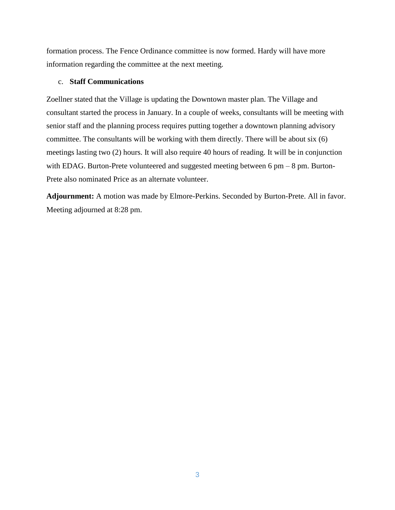formation process. The Fence Ordinance committee is now formed. Hardy will have more information regarding the committee at the next meeting.

#### c. **Staff Communications**

Zoellner stated that the Village is updating the Downtown master plan. The Village and consultant started the process in January. In a couple of weeks, consultants will be meeting with senior staff and the planning process requires putting together a downtown planning advisory committee. The consultants will be working with them directly. There will be about six (6) meetings lasting two (2) hours. It will also require 40 hours of reading. It will be in conjunction with EDAG. Burton-Prete volunteered and suggested meeting between 6 pm – 8 pm. Burton-Prete also nominated Price as an alternate volunteer.

**Adjournment:** A motion was made by Elmore-Perkins. Seconded by Burton-Prete. All in favor. Meeting adjourned at 8:28 pm.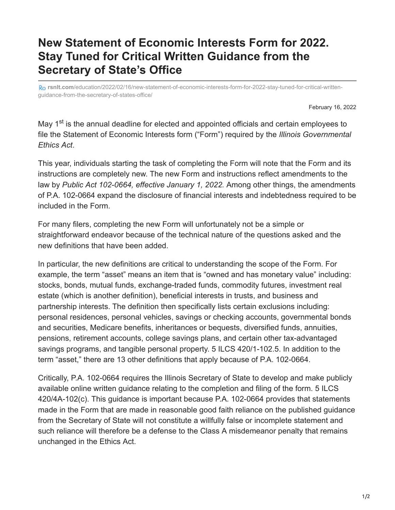# **New Statement of Economic Interests Form for 2022. Stay Tuned for Critical Written Guidance from the Secretary of State's Office**

**rsnlt.com**[/education/2022/02/16/new-statement-of-economic-interests-form-for-2022-stay-tuned-for-critical-written](https://www.rsnlt.com/education/2022/02/16/new-statement-of-economic-interests-form-for-2022-stay-tuned-for-critical-written-guidance-from-the-secretary-of-states-office/)guidance-from-the-secretary-of-states-office/

February 16, 2022

May 1<sup>st</sup> is the annual deadline for elected and appointed officials and certain employees to file the Statement of Economic Interests form ("Form") required by the *Illinois Governmental Ethics Act*.

This year, individuals starting the task of completing the Form will note that the Form and its instructions are completely new. The new Form and instructions reflect amendments to the law by *Public Act 102-0664, effective January 1, 2022.* Among other things, the amendments of P.A. 102-0664 expand the disclosure of financial interests and indebtedness required to be included in the Form.

For many filers, completing the new Form will unfortunately not be a simple or straightforward endeavor because of the technical nature of the questions asked and the new definitions that have been added.

In particular, the new definitions are critical to understanding the scope of the Form. For example, the term "asset" means an item that is "owned and has monetary value" including: stocks, bonds, mutual funds, exchange-traded funds, commodity futures, investment real estate (which is another definition), beneficial interests in trusts, and business and partnership interests. The definition then specifically lists certain exclusions including: personal residences, personal vehicles, savings or checking accounts, governmental bonds and securities, Medicare benefits, inheritances or bequests, diversified funds, annuities, pensions, retirement accounts, college savings plans, and certain other tax-advantaged savings programs, and tangible personal property. 5 ILCS 420/1-102.5. In addition to the term "asset," there are 13 other definitions that apply because of P.A. 102-0664.

Critically, P.A. 102-0664 requires the Illinois Secretary of State to develop and make publicly available online written guidance relating to the completion and filing of the form. 5 ILCS 420/4A-102(c). This guidance is important because P.A. 102-0664 provides that statements made in the Form that are made in reasonable good faith reliance on the published guidance from the Secretary of State will not constitute a willfully false or incomplete statement and such reliance will therefore be a defense to the Class A misdemeanor penalty that remains unchanged in the Ethics Act.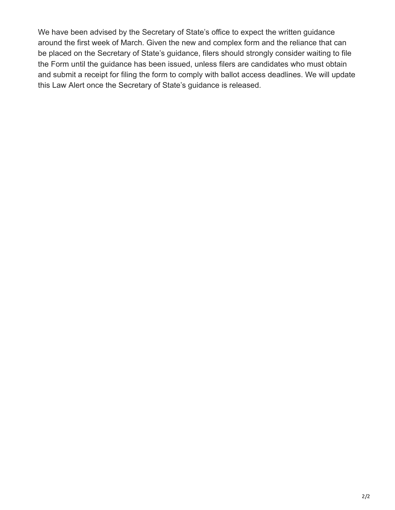We have been advised by the Secretary of State's office to expect the written guidance around the first week of March. Given the new and complex form and the reliance that can be placed on the Secretary of State's guidance, filers should strongly consider waiting to file the Form until the guidance has been issued, unless filers are candidates who must obtain and submit a receipt for filing the form to comply with ballot access deadlines. We will update this Law Alert once the Secretary of State's guidance is released.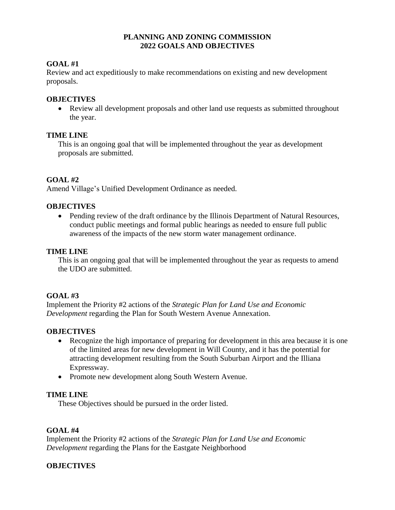#### **PLANNING AND ZONING COMMISSION 2022 GOALS AND OBJECTIVES**

## **GOAL #1**

Review and act expeditiously to make recommendations on existing and new development proposals.

#### **OBJECTIVES**

• Review all development proposals and other land use requests as submitted throughout the year.

#### **TIME LINE**

This is an ongoing goal that will be implemented throughout the year as development proposals are submitted.

## **GOAL #2**

Amend Village's Unified Development Ordinance as needed.

#### **OBJECTIVES**

• Pending review of the draft ordinance by the Illinois Department of Natural Resources, conduct public meetings and formal public hearings as needed to ensure full public awareness of the impacts of the new storm water management ordinance.

## **TIME LINE**

This is an ongoing goal that will be implemented throughout the year as requests to amend the UDO are submitted.

#### **GOAL #3**

Implement the Priority #2 actions of the *Strategic Plan for Land Use and Economic Development* regarding the Plan for South Western Avenue Annexation.

#### **OBJECTIVES**

- Recognize the high importance of preparing for development in this area because it is one of the limited areas for new development in Will County, and it has the potential for attracting development resulting from the South Suburban Airport and the Illiana Expressway.
- Promote new development along South Western Avenue.

#### **TIME LINE**

These Objectives should be pursued in the order listed.

#### **GOAL #4**

Implement the Priority #2 actions of the *Strategic Plan for Land Use and Economic Development* regarding the Plans for the Eastgate Neighborhood

## **OBJECTIVES**